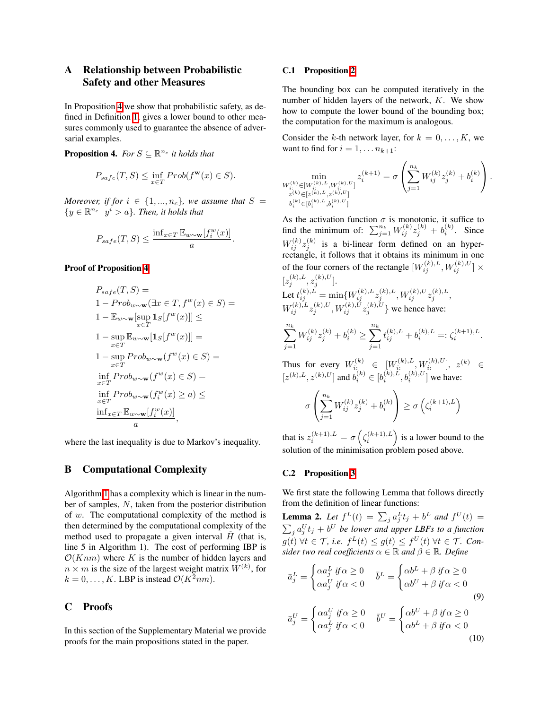# <span id="page-0-2"></span>A Relationship between Probabilistic Safety and other Measures

In Proposition  $\overline{4}$  we show that probabilistic safety, as defined in Definition  $\overline{1}$ , gives a lower bound to other measures commonly used to guarantee the absence of adversarial examples.

<span id="page-0-0"></span>**Proposition 4.** *For*  $S \subseteq \mathbb{R}^{n_c}$  *it holds that* 

$$
P_{safe}(T, S) \le \inf_{x \in T} Prob(f^{\mathbf{w}}(x) \in S).
$$

*Moreover, if for*  $i \in \{1, ..., n_c\}$ *, we assume that*  $S =$  $\{y \in \mathbb{R}^{n_c} \mid y^i > a\}$ *. Then, it holds that* 

$$
P_{safe}(T, S) \le \frac{\inf_{x \in T} \mathbb{E}_{w \sim \mathbf{w}}[f_i^w(x)]}{a}.
$$

## Proof of Proposition<sup>4</sup>

$$
P_{safe}(T, S) =
$$
  
\n
$$
1 - Prob_{w \sim \mathbf{w}}(\exists x \in T, f^w(x) \in S) =
$$
  
\n
$$
1 - \mathbb{E}_{w \sim \mathbf{w}}[\sup_{x \in T} \mathbf{1}_S[f^w(x)]] \le
$$
  
\n
$$
1 - \sup_{x \in T} \mathbb{E}_{w \sim \mathbf{w}}[\mathbf{1}_S[f^w(x)]] =
$$
  
\n
$$
1 - \sup_{x \in T} Prob_{w \sim \mathbf{w}}(f^w(x) \in S) =
$$
  
\n
$$
\inf_{x \in T} Prob_{w \sim \mathbf{w}}(f^w(x) \in S) =
$$
  
\n
$$
\inf_{x \in T} Prob_{w \sim \mathbf{w}}(f^w_i(x) \ge a) \le
$$
  
\n
$$
\frac{\inf_{x \in T} \mathbb{E}_{w \sim \mathbf{w}}[f^w_i(x)]}{a},
$$

<span id="page-0-12"></span><span id="page-0-1"></span>where the last inequality is due to Markov's inequality.

### B Computational Complexity

<span id="page-0-11"></span><span id="page-0-9"></span>Algorithm  $\sqrt{1}$  has a complexity which is linear in the number of samples, *N*, taken from the posterior distribution of *w*. The computational complexity of the method is then determined by the computational complexity of the method used to propagate a given interval  $\hat{H}$  (that is, line 5 in Algorithm 1). The cost of performing IBP is  $O(Knm)$  where *K* is the number of hidden layers and  $n \times m$  is the size of the largest weight matrix  $W^{(k)}$ , for  $k = 0, \ldots, K$ . LBP is instead  $\mathcal{O}(K^2nm)$ .

### C Proofs

In this section of the Supplementary Material we provide proofs for the main propositions stated in the paper.

#### C.1 Proposition [2](#page-0-3)

The bounding box can be computed iteratively in the number of hidden layers of the network, *K*. We show how to compute the lower bound of the bounding box; the computation for the maximum is analogous.

<span id="page-0-7"></span>Consider the *k*-th network layer, for  $k = 0, \ldots, K$ , we want to find for  $i = 1, \ldots n_{k+1}$ :

<span id="page-0-8"></span>
$$
\min_{\substack{W^{(k)}_{i:}\in [W^{(k),L}_{i:},W^{(k),U}_{i:}] \\ z^{(k)}\in [z^{(k)},L,z^{(k),U}_{i:}] \\ b^{(k)}_{i}\in [b^{(k),L}_{i:},b^{(k),U}_{i:}]}}z^{(k+1)}_i=\sigma\left(\sum_{j=1}^{n_k}W^{(k)}_{ij}z^{(k)}_j+b^{(k)}_i\right).
$$

<span id="page-0-4"></span>As the activation function  $\sigma$  is monotonic, it suffice to find the minimum of:  $\sum_{j=1}^{n_k} W_{ij}^{(k)} z_j^{(k)} + b_i^{(k)}$ . Since  $W_{ij}^{(k)} z_j^{(k)}$  is a bi-linear form defined on an hyperrectangle, it follows that it obtains its minimum in one of the four corners of the rectangle  $[W_{ij}^{(k),L}, W_{ij}^{(k),U}] \times$  $[z_j^{(k),L}, z_j^{(k),U}].$ Let  $t_{ij}^{(k),L} = \min\{W_{ij}^{(k),L} z_j^{(k),L}, W_{ij}^{(k),U} z_j^{(k),L}, \}$  $W_{ij}^{(k),L} z_j^{(k),U}, W_{ij}^{(k),U} z_j^{(k),U} \}$  we hence have:  $\sum_{k}$ *j*=1  $W_{ij}^{(k)}z_j^{(k)} + b_i^{(k)} \geq \sum_{j=1}^{n_k}$  $t_{ij}^{(k),L} + b_i^{(k),L} =: \zeta_i^{(k+1),L}.$ 

Thus for every  $W_{i}^{(k)} \in [W_{i}^{(k),L}, W_{i}^{(k),U}], z^{(k)} \in$  $[z^{(k),L}, z^{(k),U}]$  and  $b_i^{(k)} \in [b_i^{(k),L}, b_i^{(k),U}]$  we have:

$$
\sigma\left(\sum_{j=1}^{n_k} W_{ij}^{(k)} z_j^{(k)} + b_i^{(k)}\right) \ge \sigma\left(\zeta_i^{(k+1),L}\right)
$$

that is  $z_i^{(k+1),L} = \sigma\left(\zeta_i^{(k+1),L}\right)$  is a lower bound to the solution of the minimisation problem posed above.

#### C.2 Proposition [3](#page-0-4)

 $\alpha a_j^L$  *if*  $\alpha < 0$ 

We first state the following Lemma that follows directly from the definition of linear functions:

<span id="page-0-10"></span><span id="page-0-3"></span>**Lemma 2.** Let  $f^{L}(t) = \sum_{j} a_{j}^{L} t_{j} + b^{L}$  and  $f^{U}(t) =$  $\sum_{j} a_j^U t_j + b^U$  be lower and upper LBFs to a function  $g(t)$   $\forall t \in \mathcal{T}$ , *i.e.*  $f^L(t) \leq g(t) \leq f^U(t)$   $\forall t \in \mathcal{T}$ . Con*sider two real coefficients*  $\alpha \in \mathbb{R}$  *and*  $\beta \in \mathbb{R}$ *. Define* 

$$
\bar{a}_j^L = \begin{cases}\n\alpha a_j^L & \text{if } \alpha \ge 0 \\
\alpha a_j^U & \text{if } \alpha < 0\n\end{cases} \quad \bar{b}^L = \begin{cases}\n\alpha b^L + \beta & \text{if } \alpha \ge 0 \\
\alpha b^U + \beta & \text{if } \alpha < 0\n\end{cases} \tag{9}
$$
\n
$$
\bar{a}_j^U = \begin{cases}\n\alpha a_j^U & \text{if } \alpha \ge 0 \\
\alpha a^L & \text{if } \alpha < 0\n\end{cases} \quad \bar{b}^U = \begin{cases}\n\alpha b^U + \beta & \text{if } \alpha \ge 0 \\
\alpha b^L + \beta & \text{if } \alpha < 0\n\end{cases}
$$

<span id="page-0-6"></span><span id="page-0-5"></span>
$$
(10)
$$

 $\alpha b^L + \beta \textit{ if } \alpha < 0$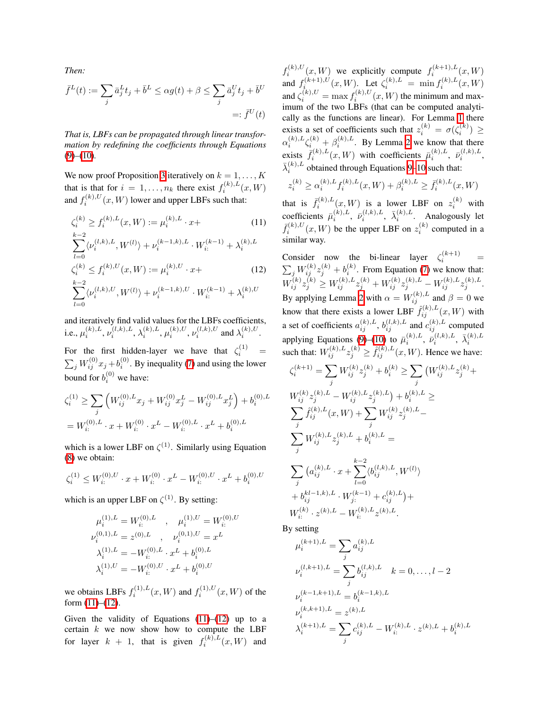*Then:*

 $\overline{l=0}$ 

$$
\bar{f}^L(t) := \sum_j \bar{a}_j^L t_j + \bar{b}^L \le \alpha g(t) + \beta \le \sum_j \bar{a}_j^U t_j + \bar{b}^U
$$
  
=: 
$$
\bar{f}^U(t)
$$

*That is, LBFs can be propagated through linear transformation by redefining the coefficients through Equations* [\(9\)](#page-0-5)*–*[\(10\)](#page-0-6)*.*

We now proof Proposition  $3$  iteratively on  $k = 1, \ldots, K$ that is that for  $i = 1, \ldots, n_k$  there exist  $f_i^{(k),L}(x, W)$ and  $f_i^{(k),U}(x, W)$  lower and upper LBFs such that:

$$
\zeta_i^{(k)} \ge f_i^{(k),L}(x, W) := \mu_i^{(k),L} \cdot x + \tag{11}
$$
\n
$$
\sum_{l=0}^{k-2} \langle \nu_i^{(l,k),L}, W^{(l)} \rangle + \nu_i^{(k-1,k),L} \cdot W_i^{(k-1)} + \lambda_i^{(k),L}
$$
\n
$$
\zeta_i^{(k)} \le f_i^{(k),U}(x, W) := \mu_i^{(k),U} \cdot x + \tag{12}
$$
\n
$$
\sum_{k=2}^{k-2} \langle \nu_i^{(l,k),U}, W^{(l)} \rangle + \nu_i^{(k-1,k),U} \cdot W_i^{(k-1)} + \lambda_i^{(k),U}
$$

and iteratively find valid values for the LBFs coefficients, i.e.,  $\mu_i^{(k),L}, \nu_i^{(l,k),L}, \lambda_i^{(k),L}, \mu_i^{(k),U}, \nu_i^{(l,k),U}$  and  $\lambda_i^{(k),U}$ .

For the first hidden-layer we have that  $\zeta_i^{(1)}$  =  $\sum_{j} W_{ij}^{(0)} x_j + b_i^{(0)}$ . By inequality  $\boxed{7}$  and using the lower bound for  $b_i^{(0)}$  we have:

$$
\zeta_i^{(1)} \ge \sum_j \left( W_{ij}^{(0),L} x_j + W_{ij}^{(0)} x_j^L - W_{ij}^{(0),L} x_j^L \right) + b_i^{(0),L}
$$
  
=  $W_{i:}^{(0),L} \cdot x + W_{i:}^{(0)} \cdot x^L - W_{i:}^{(0),L} \cdot x^L + b_i^{(0),L}$ 

which is a lower LBF on  $\zeta^{(1)}$ . Similarly using Equation [\(8\)](#page-0-8) we obtain:

$$
\zeta_i^{(1)} \leq W_{i:}^{(0),U} \cdot x + W_{i:}^{(0)} \cdot x^L - W_{i:}^{(0),U} \cdot x^L + b_i^{(0),U}
$$

which is an upper LBF on  $\zeta^{(1)}$ . By setting:

$$
\begin{aligned}\n\mu_i^{(1),L} &= W_{i:}^{(0),L} \quad , \quad \mu_i^{(1),U} = W_{i:}^{(0),U} \\
\nu_i^{(0,1),L} &= z^{(0),L} \quad , \quad \nu_i^{(0,1),U} = x^L \\
\lambda_i^{(1),L} &= -W_{i:}^{(0),L} \cdot x^L + b_i^{(0),L} \\
\lambda_i^{(1),U} &= -W_{i:}^{(0),U} \cdot x^L + b_i^{(0),U}\n\end{aligned}
$$

we obtains LBFs  $f_i^{(1),L}(x, W)$  and  $f_i^{(1),U}(x, W)$  of the form  $(11)$ – $(12)$ .

Given the validity of Equations  $(11)$ – $(12)$  up to a certain *k* we now show how to compute the LBF for layer  $k + 1$ , that is given  $f_i^{(k),L}(x, W)$  and

 $f_i^{(k),U}(x, W)$  we explicitly compute  $f_i^{(k+1),L}(x, W)$ and  $f_i^{(k+1),U}(x, W)$ . Let  $\zeta_i^{(k),L} = \min f_i^{(k),L}(x, W)$ and  $\zeta_i^{(k),U} = \max f_i^{(k),U}(x, W)$  the minimum and maximum of the two LBFs (that can be computed analytically as the functions are linear). For Lemma  $\boxed{1}$  there exists a set of coefficients such that  $z_i^{(k)} = \sigma(\zeta_i^{(k)}) \ge$  $\alpha_i^{(k),L} \zeta_i^{(k)} + \beta_i^{(k),L}$ . By Lemma [2](#page-0-10) we know that there exists  $\bar{f}_i^{(k),L}(x, W)$  with coefficients  $\bar{\mu}_i^{(k),L}$ ,  $\bar{\nu}_i^{(l,k),L}$ ,  $\bar{\lambda}_i^{(k),L}$  obtained through Equations  $9\frac{|10|}{|}$  $9\frac{|10|}{|}$  $9\frac{|10|}{|}$  such that:

$$
z_i^{(k)} \ge \alpha_i^{(k),L} f_i^{(k),L}(x, W) + \beta_i^{(k),L} \ge \bar{f}_i^{(k),L}(x, W)
$$

<span id="page-1-0"></span>that is  $\bar{f}_i^{(k),L}(x, W)$  is a lower LBF on  $z_i^{(k)}$  with coefficients  $\bar{\mu}_i^{(k),L}$ ,  $\bar{\nu}_i^{(l,k),L}$ ,  $\bar{\lambda}_i^{(k),L}$ . Analogously let  $\bar{f}_i^{(k),U}(x, W)$  be the upper LBF on  $z_i^{(k)}$  computed in a similar way.

<span id="page-1-1"></span>Consider now the bi-linear layer  $\zeta_i^{(k+1)}$  $i^{(\kappa+1)}$  =  $\sum_{j} W_{ij}^{(k)} z_j^{(k)} + b_i^{(k)}$ . From Equation [\(7\)](#page-0-7) we know that:  $W_{ij}^{(k)} z_j^{(k)} \geq W_{ij}^{(k),L} z_{\underline{j}}^{(k)} + W_{ij}^{(k)} z_j^{(k),L} - W_{ij}^{(k),L} z_j^{(k),L}.$ By applying Lemma  $2 \text{ with } \alpha = W_{ij}^{(k),L}$  and  $\beta = 0$  we know that there exists a lower LBF  $\hat{f}_{ij}^{(k),L}(x, W)$  with a set of coefficients  $a_{ij}^{(k),L}$ ,  $b_{ij}^{(l,k),L}$  and  $c_{ij}^{(k),L}$  computed applying Equations  $\overline{\text{CD}}$   $\overline{\text{CD}}$  to  $\overline{\mu}_i^{(k),L}$ ,  $\overline{\nu}_i^{(l,k),L}$ ,  $\overline{\lambda}_i^{(k),L}$ <br>such that:  $W_{ij}^{(k),L} z_j^{(k)} \geq \hat{f}_{ij}^{(k),L}(x, W)$ . Hence we have:

$$
\begin{split} &\zeta_i^{(k+1)} = \sum_j W_{ij}^{(k)} z_j^{(k)} + b_i^{(k)} \geq \sum_j \left( W_{ij}^{(k),L} z_j^{(k)} \right) + \\ &\frac{W_{ij}^{(k)} z_j^{(k),L} - W_{ij}^{(k),L} z_j^{(k),L} \right) + b_i^{(k),L} \geq \\ &\sum_j \hat{f}_{ij}^{(k),L} (x,W) + \sum_j W_{ij}^{(k)} z_j^{(k),L} - \\ &\sum_j W_{ij}^{(k),L} z_j^{(k),L} + b_i^{(k),L} = \\ &\sum_j \left( a_{ij}^{(k),L} \cdot x + \sum_{l=0}^{k-2} \langle b_{ij}^{(l,k),L}, W^{(l)} \rangle \right. \\ &\left. + b_{ij}^{kl-1,k),L} \cdot W_{j:}^{(k-1)} + c_{ij}^{(k),L} \right) + \\ &\frac{W_i^{(k)} \cdot z^{(k),L} - W_{i:}^{(k),L} z^{(k),L}}{W_{i:}^{(k)} \cdot z^{(k),L}} . \end{split}
$$

By setting

$$
\mu_i^{(k+1),L} = \sum_j a_{ij}^{(k),L}
$$
  
\n
$$
\nu_i^{(l,k+1),L} = \sum_j b_{ij}^{(l,k),L} \quad k = 0, ..., l-2
$$
  
\n
$$
\nu_i^{(k-1,k+1),L} = b_i^{(k-1,k),L}
$$
  
\n
$$
\nu_i^{(k,k+1),L} = z^{(k),L}
$$
  
\n
$$
\lambda_i^{(k+1),L} = \sum_j c_{ij}^{(k),L} - W_{i:}^{(k),L} \cdot z^{(k),L} + b_i^{(k),L}
$$